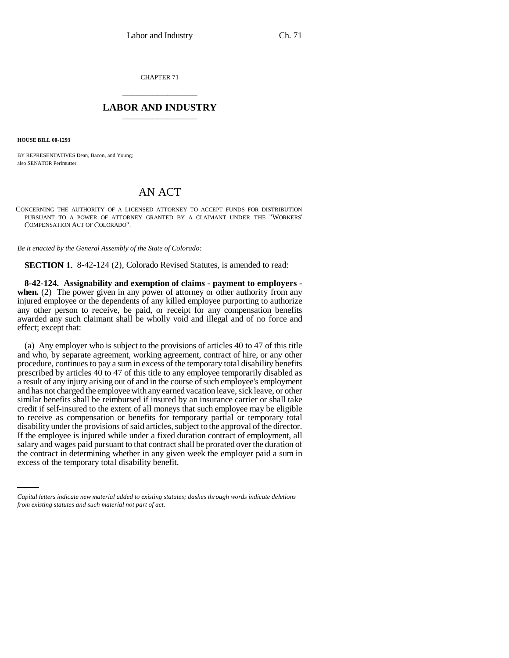CHAPTER 71 \_\_\_\_\_\_\_\_\_\_\_\_\_\_\_

## **LABOR AND INDUSTRY** \_\_\_\_\_\_\_\_\_\_\_\_\_\_\_

**HOUSE BILL 00-1293** 

BY REPRESENTATIVES Dean, Bacon, and Young; also SENATOR Perlmutter.

## AN ACT

CONCERNING THE AUTHORITY OF A LICENSED ATTORNEY TO ACCEPT FUNDS FOR DISTRIBUTION PURSUANT TO A POWER OF ATTORNEY GRANTED BY A CLAIMANT UNDER THE "WORKERS' COMPENSATION ACT OF COLORADO".

*Be it enacted by the General Assembly of the State of Colorado:*

**SECTION 1.** 8-42-124 (2), Colorado Revised Statutes, is amended to read:

**8-42-124. Assignability and exemption of claims - payment to employers**  when. (2) The power given in any power of attorney or other authority from any injured employee or the dependents of any killed employee purporting to authorize any other person to receive, be paid, or receipt for any compensation benefits awarded any such claimant shall be wholly void and illegal and of no force and effect; except that:

salary and wages paid pursuant to that contract shall be prorated over the duration of (a) Any employer who is subject to the provisions of articles 40 to 47 of this title and who, by separate agreement, working agreement, contract of hire, or any other procedure, continues to pay a sum in excess of the temporary total disability benefits prescribed by articles 40 to 47 of this title to any employee temporarily disabled as a result of any injury arising out of and in the course of such employee's employment and has not charged the employee with any earned vacation leave, sick leave, or other similar benefits shall be reimbursed if insured by an insurance carrier or shall take credit if self-insured to the extent of all moneys that such employee may be eligible to receive as compensation or benefits for temporary partial or temporary total disability under the provisions of said articles, subject to the approval of the director. If the employee is injured while under a fixed duration contract of employment, all the contract in determining whether in any given week the employer paid a sum in excess of the temporary total disability benefit.

*Capital letters indicate new material added to existing statutes; dashes through words indicate deletions from existing statutes and such material not part of act.*